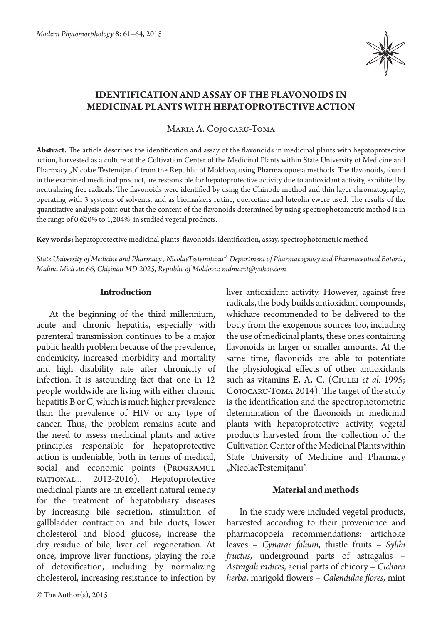

# **Identification and assay of the flavonoids in medicinal plants with hepatoprotective action**

Maria A. Cojocaru-Toma

**Abstract.** The article describes the identification and assay of the flavonoids in medicinal plants with hepatoprotective action, harvested as a culture at the Cultivation Center of the Medicinal Plants within State University of Medicine and Pharmacy "Nicolae Testemițanu" from the Republic of Moldova, using Pharmacopoeia methods. The flavonoids, found in the examined medicinal product, are responsible for hepatoprotective activity due to antioxidant activity, exhibited by neutralizing free radicals. The flavonoids were identified by using the Chinode method and thin layer chromatography, operating with 3 systems of solvents, and as biomarkers rutine, quercetine and luteolin ewere used. The results of the quantitative analysis point out that the content of the flavonoids determined by using spectrophotometric method is in the range of 0,620% to 1,204%, in studied vegetal products.

**Key words:** hepatoprotective medicinal plants, flavonoids, identification, assay, spectrophotometric method

*State University of Medicine and Pharmacy "NicolaeTestemițanu", Department of Pharmacognosy and Pharmaceutical Botanic, Malina Mică str. 66, Chișinău MD 2025, Republic of Moldova; mdmarct@yahoo.com*

### **Introduction**

At the beginning of the third millennium, acute and chronic hepatitis, especially with parenteral transmission continues to be a major public health problem because of the prevalence, endemicity, increased morbidity and mortality and high disability rate after chronicity of infection. It is astounding fact that one in 12 people worldwide are living with either chronic hepatitis B or C, which is much higher prevalence than the prevalence of HIV or any type of cancer. Thus, the problem remains acute and the need to assess medicinal plants and active principles responsible for hepatoprotective action is undeniable, both in terms of medical, social and economic points (PROGRAMUL național... 2012-2016). Hepatoprotective medicinal plants are an excellent natural remedy for the treatment of hepatobiliary diseases by increasing bile secretion, stimulation of gallbladder contraction and bile ducts, lower cholesterol and blood glucose, increase the dry residue of bile, liver cell regeneration. At once, improve liver functions, playing the role of detoxification, including by normalizing cholesterol, increasing resistance to infection by

© The Author(s), 2015

liver antioxidant activity. However, against free radicals, the body builds antioxidant compounds, whichare recommended to be delivered to the body from the exogenous sources too, including the use of medicinal plants, these ones containing flavonoids in larger or smaller amounts. At the same time, flavonoids are able to potentiate the physiological effects of other antioxidants such as vitamins E, A, C. (CIULEI *et al.* 1995; Cojocaru-Toma 2014). The target of the study is the identification and the spectrophotometric determination of the flavonoids in medicinal plants with hepatoprotective activity, vegetal products harvested from the collection of the Cultivation Center of the Medicinal Plants within State University of Medicine and Pharmacy "NicolaeTestemițanu".

## **Material and methods**

In the study were included vegetal products, harvested according to their provenience and pharmacopoeia recommendations: artichoke leaves – *Cynarae folium*, thistle fruits – *Sylibi fructus*, underground parts of astragalus – *Astragali radices*, aerial parts of chicory – *Cichorii herba*, marigold flowers – *Calendulae flores*, mint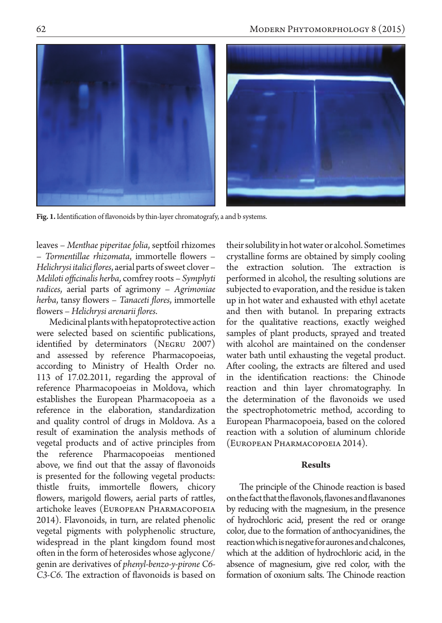

Fig. 1. Identification of flavonoids by thin-layer chromatografy, a and b systems.

leaves – *Menthae piperitae folia*, septfoil rhizomes – *Tormentillae rhizomata*, immortelle flowers – *Helichrysi italici flores*, aerial parts of sweet clover – *Meliloti officinalis herba*, comfrey roots – *Symphyti radices*, aerial parts of agrimony – *Agrimoniae herba*, tansy flowers – *Tanaceti flores*, immortelle flowers – *Helichrysi arenarii flores*.

Medicinal plants with hepatoprotective action were selected based on scientific publications, identified by determinators (Negru 2007) and assessed by reference Pharmacopoeias, according to Ministry of Health Order no. 113 of 17.02.2011, regarding the approval of reference Pharmacopoeias in Moldova, which establishes the European Pharmacopoeia as a reference in the elaboration, standardization and quality control of drugs in Moldova. As a result of examination the analysis methods of vegetal products and of active principles from the reference Pharmacopoeias mentioned above, we find out that the assay of flavonoids is presented for the following vegetal products: thistle fruits, immortelle flowers, chicory flowers, marigold flowers, aerial parts of rattles, artichoke leaves (European Pharmacopoeia 2014). Flavonoids, in turn, are related phenolic vegetal pigments with polyphenolic structure, widespread in the plant kingdom found most often in the form of heterosides whose aglycone/ genin are derivatives of *phenyl-benzo-y-pirone C6- C3-C6*. The extraction of flavonoids is based on

their solubility in hot water or alcohol. Sometimes crystalline forms are obtained by simply cooling the extraction solution. The extraction is performed in alcohol, the resulting solutions are subjected to evaporation, and the residue is taken up in hot water and exhausted with ethyl acetate and then with butanol. In preparing extracts for the qualitative reactions, exactly weighed samples of plant products, sprayed and treated with alcohol are maintained on the condenser water bath until exhausting the vegetal product. After cooling, the extracts are filtered and used in the identification reactions: the Chinode reaction and thin layer chromatography. In the determination of the flavonoids we used the spectrophotometric method, according to European Pharmacopoeia, based on the colored reaction with a solution of aluminum chloride (European Pharmacopoeia 2014).

### **Results**

The principle of the Chinode reaction is based on the fact that the flavonols, flavones and flavanones by reducing with the magnesium, in the presence of hydrochloric acid, present the red or orange color, due to the formation of anthocyanidines, the reaction which is negative for aurones and chalcones, which at the addition of hydrochloric acid, in the absence of magnesium, give red color, with the formation of oxonium salts. The Chinode reaction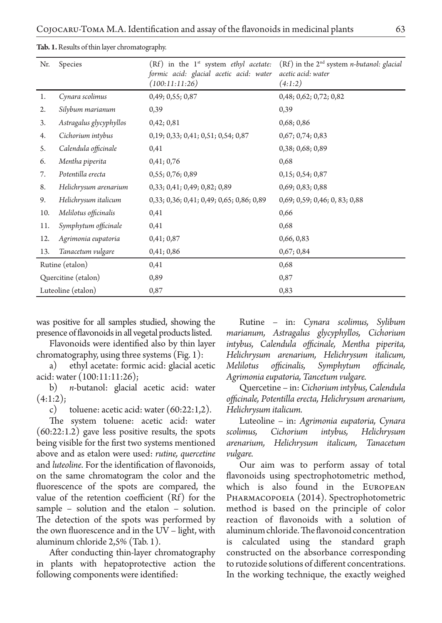**Tab. 1.** Results of thin layer chromatography.

| Nr.                 | Species                 | $(Rf)$ in the 1 <sup>st</sup> system <i>ethyl</i> acetate:<br>formic acid: glacial acetic acid: water<br>(100:11:11:26) | $(Rf)$ in the 2 <sup>nd</sup> system <i>n</i> -butanol: glacial<br>acetic acid: water<br>(4:1:2) |
|---------------------|-------------------------|-------------------------------------------------------------------------------------------------------------------------|--------------------------------------------------------------------------------------------------|
| 1.                  | Cynara scolimus         | 0,49; 0,55; 0,87                                                                                                        | 0,48; 0,62; 0,72; 0,82                                                                           |
| 2.                  | Silybum marianum        | 0,39                                                                                                                    | 0,39                                                                                             |
| 3.                  | Astragalus glycyphyllos | 0,42;0,81                                                                                                               | 0,68;0,86                                                                                        |
| 4.                  | Cichorium intybus       | 0,19; 0,33; 0,41; 0,51; 0,54; 0,87                                                                                      | 0,67; 0,74; 0,83                                                                                 |
| 5.                  | Calendula officinale    | 0,41                                                                                                                    | 0,38; 0,68; 0,89                                                                                 |
| 6.                  | Mentha piperita         | 0,41;0,76                                                                                                               | 0,68                                                                                             |
| 7.                  | Potentilla erecta       | 0,55; 0,76; 0,89                                                                                                        | 0,15; 0,54; 0,87                                                                                 |
| 8.                  | Helichrysum arenarium   | 0,33; 0,41; 0,49; 0,82; 0,89                                                                                            | 0,69; 0,83; 0,88                                                                                 |
| 9.                  | Helichrysum italicum    | 0,33; 0,36; 0,41; 0,49; 0,65; 0,86; 0,89                                                                                | 0,69; 0,59; 0,46; 0,83; 0,88                                                                     |
| 10.                 | Melilotus officinalis   | 0,41                                                                                                                    | 0,66                                                                                             |
| 11.                 | Symphytum officinale    | 0,41                                                                                                                    | 0,68                                                                                             |
| 12.                 | Agrimonia eupatoria     | 0,41;0,87                                                                                                               | 0,66, 0,83                                                                                       |
| 13.                 | Tanacetum vulgare       | 0,41;0,86                                                                                                               | 0,67;0,84                                                                                        |
| Rutine (etalon)     |                         | 0,41                                                                                                                    | 0,68                                                                                             |
| Quercitine (etalon) |                         | 0,89                                                                                                                    | 0,87                                                                                             |
| Luteoline (etalon)  |                         | 0,87                                                                                                                    | 0,83                                                                                             |

was positive for all samples studied, showing the presence of flavonoids in all vegetal products listed.

Flavonoids were identified also by thin layer chromatography, using three systems (Fig. 1):

a) ethyl acetate: formic acid: glacial acetic acid: water (100:11:11:26);

b) *n*-butanol: glacial acetic acid: water  $(4:1:2);$ 

c) toluene: acetic acid: water (60:22:1,2).

The system toluene: acetic acid: water (60:22:1.2) gave less positive results, the spots being visible for the first two systems mentioned above and as etalon were used: *rutine, quercetine* and *luteoline*. For the identification of flavonoids, on the same chromatogram the color and the fluorescence of the spots are compared, the value of the retention coefficient (Rf) for the sample – solution and the etalon – solution. The detection of the spots was performed by the own fluorescence and in the UV – light, with aluminum chloride 2,5% (Tab. 1).

After conducting thin-layer chromatography in plants with hepatoprotective action the following components were identified:

Rutine – in: *Cynara scolimus, Sylibum marianum, Astragalus glycyphyllos, Cichorium intybus, Calendula officinale, Mentha piperita, Helichrysum arenarium, Helichrysum italicum, Melilotus officinalis, Symphytum officinale, Agrimonia eupatoria, Tancetum vulgare.*

Quercetine – in: *Cichorium intybus, Calendula officinale, Potentilla erecta, Helichrysum arenarium, Helichrysum italicum.*

Luteoline – in: *Agrimonia eupatoria, Cynara scolimus, Cichorium intybus, Helichrysum arenarium, Helichrysum italicum, Tanacetum vulgare.*

Our aim was to perform assay of total flavonoids using spectrophotometric method, which is also found in the European Pharmacopoeia (2014). Spectrophotometric method is based on the principle of color reaction of flavonoids with a solution of aluminum chloride. The flavonoid concentration is calculated using the standard graph constructed on the absorbance corresponding to rutozide solutions of different concentrations. In the working technique, the exactly weighed